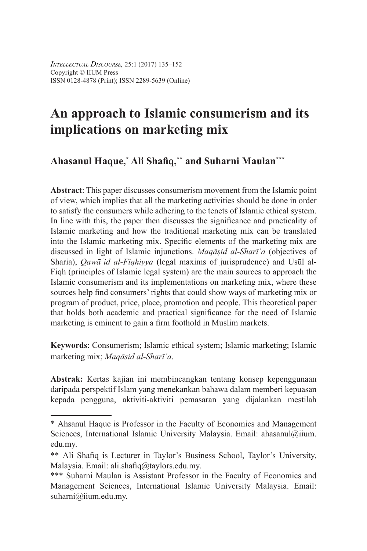# **An approach to Islamic consumerism and its implications on marketing mix**

## **Ahasanul Haque,\* Ali Shafiq,\*\* and Suharni Maulan\*\*\***

**Abstract**: This paper discusses consumerism movement from the Islamic point of view, which implies that all the marketing activities should be done in order to satisfy the consumers while adhering to the tenets of Islamic ethical system. In line with this, the paper then discusses the significance and practicality of Islamic marketing and how the traditional marketing mix can be translated into the Islamic marketing mix. Specific elements of the marketing mix are discussed in light of Islamic injunctions. *Maqāṣid al-Sharīʿa* (objectives of Sharia), *Qawāʿid al-Fiqhiyya* (legal maxims of jurisprudence) and Usūl al-Fiqh (principles of Islamic legal system) are the main sources to approach the Islamic consumerism and its implementations on marketing mix, where these sources help find consumers' rights that could show ways of marketing mix or program of product, price, place, promotion and people. This theoretical paper that holds both academic and practical significance for the need of Islamic marketing is eminent to gain a firm foothold in Muslim markets.

**Keywords**: Consumerism; Islamic ethical system; Islamic marketing; Islamic marketing mix; *MaqÉsid al-Sharīʿa*.

**Abstrak:** Kertas kajian ini membincangkan tentang konsep kepenggunaan daripada perspektif Islam yang menekankan bahawa dalam memberi kepuasan kepada pengguna, aktiviti-aktiviti pemasaran yang dijalankan mestilah

<sup>\*</sup> Ahsanul Haque is Professor in the Faculty of Economics and Management Sciences, International Islamic University Malaysia. Email: ahasanul@iium. edu.my.

<sup>\*\*</sup> Ali Shafiq is Lecturer in Taylor's Business School, Taylor's University, Malaysia. Email: ali.shafiq@taylors.edu.my.

<sup>\*\*\*</sup> Suharni Maulan is Assistant Professor in the Faculty of Economics and Management Sciences, International Islamic University Malaysia. Email: suharni@iium.edu.my.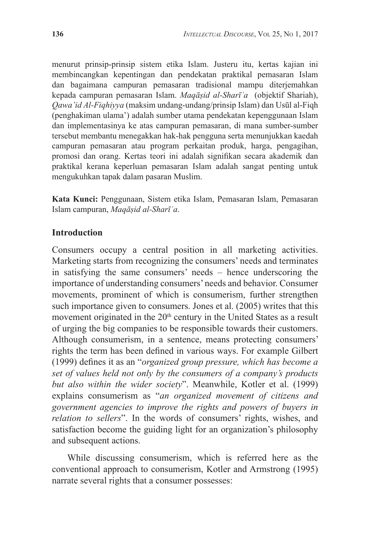menurut prinsip-prinsip sistem etika Islam. Justeru itu, kertas kajian ini membincangkan kepentingan dan pendekatan praktikal pemasaran Islam dan bagaimana campuran pemasaran tradisional mampu diterjemahkan kepada campuran pemasaran Islam. *Maqāṣid al-Sharīʿa* (objektif Shariah), *Qawa'id Al-Fiqhiyya* (maksim undang-undang/prinsip Islam) dan Usūl al-Fiqh (penghakiman ulama') adalah sumber utama pendekatan kepenggunaan Islam dan implementasinya ke atas campuran pemasaran, di mana sumber-sumber tersebut membantu menegakkan hak-hak pengguna serta menunjukkan kaedah campuran pemasaran atau program perkaitan produk, harga, pengagihan, promosi dan orang. Kertas teori ini adalah signifikan secara akademik dan praktikal kerana keperluan pemasaran Islam adalah sangat penting untuk mengukuhkan tapak dalam pasaran Muslim.

**Kata Kunci:** Penggunaan, Sistem etika Islam, Pemasaran Islam, Pemasaran Islam campuran, *Maqāṣid al-Sharīʿa*.

### **Introduction**

Consumers occupy a central position in all marketing activities. Marketing starts from recognizing the consumers' needs and terminates in satisfying the same consumers' needs – hence underscoring the importance of understanding consumers' needs and behavior. Consumer movements, prominent of which is consumerism, further strengthen such importance given to consumers. Jones et al. (2005) writes that this movement originated in the  $20<sup>th</sup>$  century in the United States as a result of urging the big companies to be responsible towards their customers. Although consumerism, in a sentence, means protecting consumers' rights the term has been defined in various ways. For example Gilbert (1999) defines it as an "*organized group pressure, which has become a set of values held not only by the consumers of a company's products but also within the wider society*". Meanwhile, Kotler et al. (1999) explains consumerism as "*an organized movement of citizens and government agencies to improve the rights and powers of buyers in relation to sellers*". In the words of consumers' rights, wishes, and satisfaction become the guiding light for an organization's philosophy and subsequent actions.

While discussing consumerism, which is referred here as the conventional approach to consumerism, Kotler and Armstrong (1995) narrate several rights that a consumer possesses: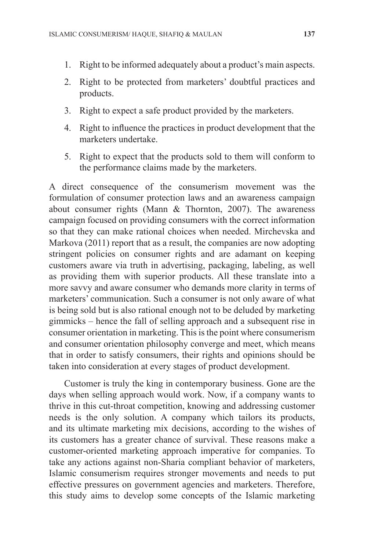- 1. Right to be informed adequately about a product's main aspects.
- 2. Right to be protected from marketers' doubtful practices and products.
- 3. Right to expect a safe product provided by the marketers.
- 4. Right to influence the practices in product development that the marketers undertake.
- 5. Right to expect that the products sold to them will conform to the performance claims made by the marketers.

A direct consequence of the consumerism movement was the formulation of consumer protection laws and an awareness campaign about consumer rights (Mann & Thornton, 2007). The awareness campaign focused on providing consumers with the correct information so that they can make rational choices when needed. Mirchevska and Markova (2011) report that as a result, the companies are now adopting stringent policies on consumer rights and are adamant on keeping customers aware via truth in advertising, packaging, labeling, as well as providing them with superior products. All these translate into a more savvy and aware consumer who demands more clarity in terms of marketers' communication. Such a consumer is not only aware of what is being sold but is also rational enough not to be deluded by marketing gimmicks – hence the fall of selling approach and a subsequent rise in consumer orientation in marketing. This is the point where consumerism and consumer orientation philosophy converge and meet, which means that in order to satisfy consumers, their rights and opinions should be taken into consideration at every stages of product development.

Customer is truly the king in contemporary business. Gone are the days when selling approach would work. Now, if a company wants to thrive in this cut-throat competition, knowing and addressing customer needs is the only solution. A company which tailors its products, and its ultimate marketing mix decisions, according to the wishes of its customers has a greater chance of survival. These reasons make a customer-oriented marketing approach imperative for companies. To take any actions against non-Sharia compliant behavior of marketers, Islamic consumerism requires stronger movements and needs to put effective pressures on government agencies and marketers. Therefore, this study aims to develop some concepts of the Islamic marketing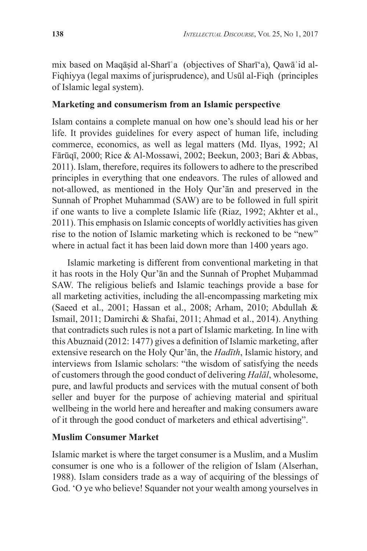mix based on Maqāṣid al-Sharīʿa (objectives of Sharī'a), Qawāʿid al-Fiqhiyya (legal maxims of jurisprudence), and Usūl al-Fiqh (principles of Islamic legal system).

## **Marketing and consumerism from an Islamic perspective**

Islam contains a complete manual on how one's should lead his or her life. It provides guidelines for every aspect of human life, including commerce, economics, as well as legal matters (Md. Ilyas, 1992; Al Fārūqī, 2000; Rice & Al-Mossawi, 2002; Beekun, 2003; Bari & Abbas, 2011). Islam, therefore, requires its followers to adhere to the prescribed principles in everything that one endeavors. The rules of allowed and not-allowed, as mentioned in the Holy Qur'ān and preserved in the Sunnah of Prophet Muhammad (SAW) are to be followed in full spirit if one wants to live a complete Islamic life (Riaz, 1992; Akhter et al., 2011). This emphasis on Islamic concepts of worldly activities has given rise to the notion of Islamic marketing which is reckoned to be "new" where in actual fact it has been laid down more than 1400 years ago.

Islamic marketing is different from conventional marketing in that it has roots in the Holy Qur'ān and the Sunnah of Prophet Muḥammad SAW. The religious beliefs and Islamic teachings provide a base for all marketing activities, including the all-encompassing marketing mix (Saeed et al., 2001; Hassan et al., 2008; Arham, 2010; Abdullah & Ismail, 2011; Damirchi & Shafai, 2011; Ahmad et al., 2014). Anything that contradicts such rules is not a part of Islamic marketing. In line with this Abuznaid (2012: 1477) gives a definition of Islamic marketing, after extensive research on the Holy Qur'ān, the *Hadīth*, Islamic history, and interviews from Islamic scholars: "the wisdom of satisfying the needs of customers through the good conduct of delivering *Halāl*, wholesome, pure, and lawful products and services with the mutual consent of both seller and buyer for the purpose of achieving material and spiritual wellbeing in the world here and hereafter and making consumers aware of it through the good conduct of marketers and ethical advertising".

## **Muslim Consumer Market**

Islamic market is where the target consumer is a Muslim, and a Muslim consumer is one who is a follower of the religion of Islam (Alserhan, 1988). Islam considers trade as a way of acquiring of the blessings of God. 'O ye who believe! Squander not your wealth among yourselves in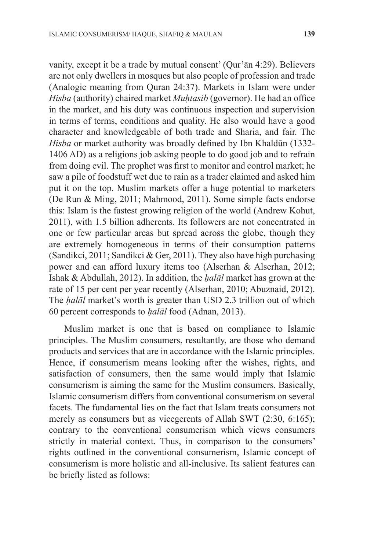vanity, except it be a trade by mutual consent' (Qur'ān 4:29). Believers are not only dwellers in mosques but also people of profession and trade (Analogic meaning from Quran 24:37). Markets in Islam were under *Hisba* (authority) chaired market *Muhtasib* (governor). He had an office in the market, and his duty was continuous inspection and supervision in terms of terms, conditions and quality. He also would have a good character and knowledgeable of both trade and Sharia, and fair. The *Hisba* or market authority was broadly defined by Ibn Khaldūn (1332- 1406 AD) as a religions job asking people to do good job and to refrain from doing evil. The prophet was first to monitor and control market; he saw a pile of foodstuff wet due to rain as a trader claimed and asked him put it on the top. Muslim markets offer a huge potential to marketers (De Run & Ming, 2011; Mahmood, 2011). Some simple facts endorse this: Islam is the fastest growing religion of the world (Andrew Kohut, 2011), with 1.5 billion adherents. Its followers are not concentrated in one or few particular areas but spread across the globe, though they are extremely homogeneous in terms of their consumption patterns (Sandikci, 2011; Sandikci & Ger, 2011). They also have high purchasing power and can afford luxury items too (Alserhan & Alserhan, 2012; Ishak & Abdullah, 2012). In addition, the *ḥalāl* market has grown at the rate of 15 per cent per year recently (Alserhan, 2010; Abuznaid, 2012). The *ḥalāl* market's worth is greater than USD 2.3 trillion out of which 60 percent corresponds to *ḥalāl* food (Adnan, 2013).

Muslim market is one that is based on compliance to Islamic principles. The Muslim consumers, resultantly, are those who demand products and services that are in accordance with the Islamic principles. Hence, if consumerism means looking after the wishes, rights, and satisfaction of consumers, then the same would imply that Islamic consumerism is aiming the same for the Muslim consumers. Basically, Islamic consumerism differs from conventional consumerism on several facets. The fundamental lies on the fact that Islam treats consumers not merely as consumers but as vicegerents of Allah SWT (2:30, 6:165); contrary to the conventional consumerism which views consumers strictly in material context. Thus, in comparison to the consumers' rights outlined in the conventional consumerism, Islamic concept of consumerism is more holistic and all-inclusive. Its salient features can be briefly listed as follows: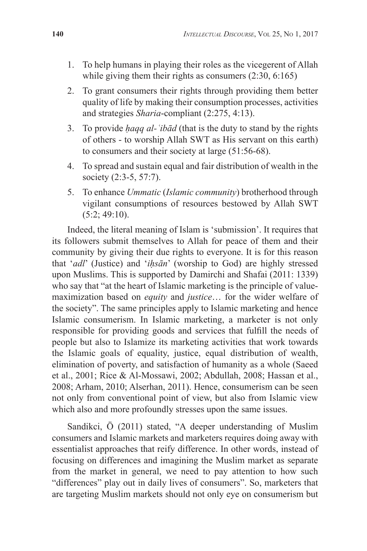- 1. To help humans in playing their roles as the vicegerent of Allah while giving them their rights as consumers  $(2:30, 6:165)$
- 2. To grant consumers their rights through providing them better quality of life by making their consumption processes, activities and strategies *Sharia*-compliant (2:275, 4:13).
- 3. To provide *ḥaqq al-ʿibād* (that is the duty to stand by the rights of others - to worship Allah SWT as His servant on this earth) to consumers and their society at large (51:56-68).
- 4. To spread and sustain equal and fair distribution of wealth in the society (2:3-5, 57:7).
- 5. To enhance *Ummatic* (*Islamic community*) brotherhood through vigilant consumptions of resources bestowed by Allah SWT  $(5:2; 49:10)$ .

Indeed, the literal meaning of Islam is 'submission'. It requires that its followers submit themselves to Allah for peace of them and their community by giving their due rights to everyone. It is for this reason that '*adl*' (Justice) and '*iḥsān*' (worship to God) are highly stressed upon Muslims. This is supported by Damirchi and Shafai (2011: 1339) who say that "at the heart of Islamic marketing is the principle of valuemaximization based on *equity* and *justice*… for the wider welfare of the society". The same principles apply to Islamic marketing and hence Islamic consumerism. In Islamic marketing, a marketer is not only responsible for providing goods and services that fulfill the needs of people but also to Islamize its marketing activities that work towards the Islamic goals of equality, justice, equal distribution of wealth, elimination of poverty, and satisfaction of humanity as a whole (Saeed et al., 2001; Rice & Al-Mossawi, 2002; Abdullah, 2008; Hassan et al., 2008; Arham, 2010; Alserhan, 2011). Hence, consumerism can be seen not only from conventional point of view, but also from Islamic view which also and more profoundly stresses upon the same issues.

Sandikci, Ӧ (2011) stated, "A deeper understanding of Muslim consumers and Islamic markets and marketers requires doing away with essentialist approaches that reify difference. In other words, instead of focusing on differences and imagining the Muslim market as separate from the market in general, we need to pay attention to how such "differences" play out in daily lives of consumers". So, marketers that are targeting Muslim markets should not only eye on consumerism but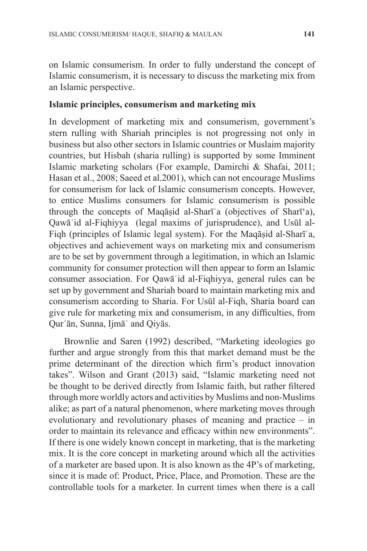on Islamic consumerism. In order to fully understand the concept of Islamic consumerism, it is necessary to discuss the marketing mix from an Islamic perspective.

### **Islamic principles, consumerism and marketing mix**

In development of marketing mix and consumerism, government's stern rulling with Shariah principles is not progressing not only in business but also other sectors in Islamic countries or Muslaim majority countries, but Hisbah (sharia rulling) is supported by some Imminent Islamic marketing scholars (For example, Damirchi & Shafai, 2011; Hasan et al., 2008; Saeed et al.2001), which can not encourage Muslims for consumerism for lack of Islamic consumerism concepts. However, to entice Muslims consumers for Islamic consumerism is possible through the concepts of Maqāṣid al-Sharīʿa (objectives of Sharī'a), Qawāʿid al-Fiqhiyya (legal maxims of jurisprudence), and Usūl al-Fiqh (principles of Islamic legal system). For the Maqāṣid al-Sharīʿa, objectives and achievement ways on marketing mix and consumerism are to be set by government through a legitimation, in which an Islamic community for consumer protection will then appear to form an Islamic consumer association. For Qawāʿid al-Fiqhiyya, general rules can be set up by government and Shariah board to maintain marketing mix and consumerism according to Sharia. For Usūl al-Fiqh, Sharia board can give rule for marketing mix and consumerism, in any difficulties, from Qurʾān, Sunna, Ijmāʿ and Qiyās.

Brownlie and Saren (1992) described, "Marketing ideologies go further and argue strongly from this that market demand must be the prime determinant of the direction which firm's product innovation takes". Wilson and Grant (2013) said, "Islamic marketing need not be thought to be derived directly from Islamic faith, but rather filtered through more worldly actors and activities by Muslims and non-Muslims alike; as part of a natural phenomenon, where marketing moves through evolutionary and revolutionary phases of meaning and practice – in order to maintain its relevance and efficacy within new environments". If there is one widely known concept in marketing, that is the marketing mix. It is the core concept in marketing around which all the activities of a marketer are based upon. It is also known as the 4P's of marketing, since it is made of: Product, Price, Place, and Promotion. These are the controllable tools for a marketer. In current times when there is a call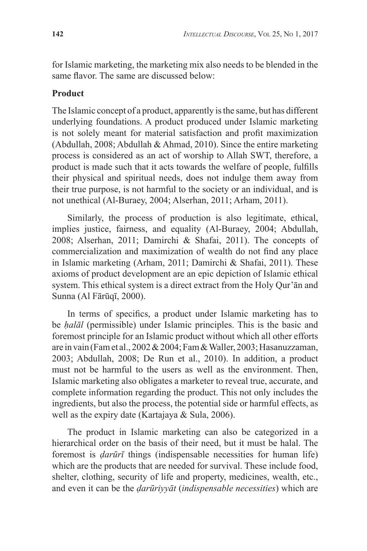for Islamic marketing, the marketing mix also needs to be blended in the same flavor. The same are discussed below:

## **Product**

The Islamic concept of a product, apparently is the same, but has different underlying foundations. A product produced under Islamic marketing is not solely meant for material satisfaction and profit maximization (Abdullah, 2008; Abdullah & Ahmad, 2010). Since the entire marketing process is considered as an act of worship to Allah SWT, therefore, a product is made such that it acts towards the welfare of people, fulfills their physical and spiritual needs, does not indulge them away from their true purpose, is not harmful to the society or an individual, and is not unethical (Al-Buraey, 2004; Alserhan, 2011; Arham, 2011).

Similarly, the process of production is also legitimate, ethical, implies justice, fairness, and equality (Al-Buraey, 2004; Abdullah, 2008; Alserhan, 2011; Damirchi & Shafai, 2011). The concepts of commercialization and maximization of wealth do not find any place in Islamic marketing (Arham, 2011; Damirchi & Shafai, 2011). These axioms of product development are an epic depiction of Islamic ethical system. This ethical system is a direct extract from the Holy Qur'ān and Sunna (Al Fārūqī, 2000).

In terms of specifics, a product under Islamic marketing has to be *ḥalāl* (permissible) under Islamic principles. This is the basic and foremost principle for an Islamic product without which all other efforts are in vain (Fam et al., 2002 & 2004; Fam & Waller, 2003; Hasanuzzaman, 2003; Abdullah, 2008; De Run et al., 2010). In addition, a product must not be harmful to the users as well as the environment. Then, Islamic marketing also obligates a marketer to reveal true, accurate, and complete information regarding the product. This not only includes the ingredients, but also the process, the potential side or harmful effects, as well as the expiry date (Kartajaya & Sula, 2006).

The product in Islamic marketing can also be categorized in a hierarchical order on the basis of their need, but it must be halal. The foremost is *ḍarūrī* things (indispensable necessities for human life) which are the products that are needed for survival. These include food, shelter, clothing, security of life and property, medicines, wealth, etc., and even it can be the *ḍarūriyyāt* (*indispensable necessities*) which are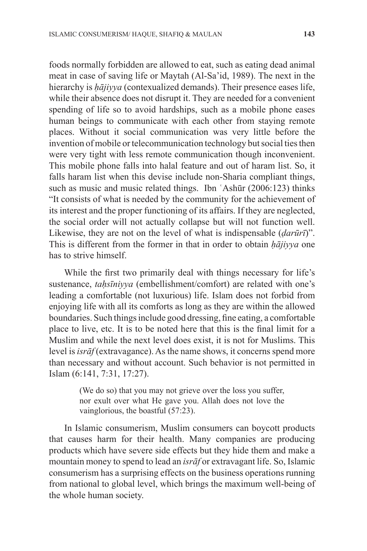foods normally forbidden are allowed to eat, such as eating dead animal meat in case of saving life or Maytah (Al-Sa'id, 1989). The next in the hierarchy is *ḥājiyya* (contexualized demands). Their presence eases life, while their absence does not disrupt it. They are needed for a convenient spending of life so to avoid hardships, such as a mobile phone eases human beings to communicate with each other from staying remote places. Without it social communication was very little before the invention of mobile or telecommunication technology but social ties then were very tight with less remote communication though inconvenient. This mobile phone falls into halal feature and out of haram list. So, it falls haram list when this devise include non-Sharia compliant things, such as music and music related things. Ibn 'Ashūr (2006:123) thinks "It consists of what is needed by the community for the achievement of its interest and the proper functioning of its affairs. If they are neglected, the social order will not actually collapse but will not function well. Likewise, they are not on the level of what is indispensable (*ḍarūrī*)". This is different from the former in that in order to obtain *ḥājiyya* one has to strive himself.

While the first two primarily deal with things necessary for life's sustenance, *taḥsīniyya* (embellishment/comfort) are related with one's leading a comfortable (not luxurious) life. Islam does not forbid from enjoying life with all its comforts as long as they are within the allowed boundaries. Such things include good dressing, fine eating, a comfortable place to live, etc. It is to be noted here that this is the final limit for a Muslim and while the next level does exist, it is not for Muslims. This level is *isrāf* (extravagance). As the name shows, it concerns spend more than necessary and without account. Such behavior is not permitted in Islam (6:141, 7:31, 17:27).

> (We do so) that you may not grieve over the loss you suffer, nor exult over what He gave you. Allah does not love the vainglorious, the boastful (57:23).

In Islamic consumerism, Muslim consumers can boycott products that causes harm for their health. Many companies are producing products which have severe side effects but they hide them and make a mountain money to spend to lead an *isrāf* or extravagant life. So, Islamic consumerism has a surprising effects on the business operations running from national to global level, which brings the maximum well-being of the whole human society.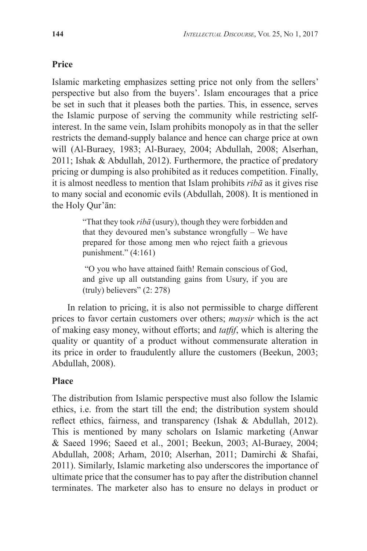## **Price**

Islamic marketing emphasizes setting price not only from the sellers' perspective but also from the buyers'. Islam encourages that a price be set in such that it pleases both the parties. This, in essence, serves the Islamic purpose of serving the community while restricting selfinterest. In the same vein, Islam prohibits monopoly as in that the seller restricts the demand-supply balance and hence can charge price at own will (Al-Buraey, 1983; Al-Buraey, 2004; Abdullah, 2008; Alserhan, 2011; Ishak & Abdullah, 2012). Furthermore, the practice of predatory pricing or dumping is also prohibited as it reduces competition. Finally, it is almost needless to mention that Islam prohibits *ribā* as it gives rise to many social and economic evils (Abdullah, 2008). It is mentioned in the Holy Qur'ān:

> "That they took *ribā* (usury), though they were forbidden and that they devoured men's substance wrongfully – We have prepared for those among men who reject faith a grievous punishment."  $(4:161)$

> "O you who have attained faith! Remain conscious of God, and give up all outstanding gains from Usury, if you are (truly) believers" (2: 278)

In relation to pricing, it is also not permissible to charge different prices to favor certain customers over others; *maysir* which is the act of making easy money, without efforts; and *taṭfif*, which is altering the quality or quantity of a product without commensurate alteration in its price in order to fraudulently allure the customers (Beekun, 2003; Abdullah, 2008).

## **Place**

The distribution from Islamic perspective must also follow the Islamic ethics, i.e. from the start till the end; the distribution system should reflect ethics, fairness, and transparency (Ishak & Abdullah, 2012). This is mentioned by many scholars on Islamic marketing (Anwar & Saeed 1996; Saeed et al., 2001; Beekun, 2003; Al-Buraey, 2004; Abdullah, 2008; Arham, 2010; Alserhan, 2011; Damirchi & Shafai, 2011). Similarly, Islamic marketing also underscores the importance of ultimate price that the consumer has to pay after the distribution channel terminates. The marketer also has to ensure no delays in product or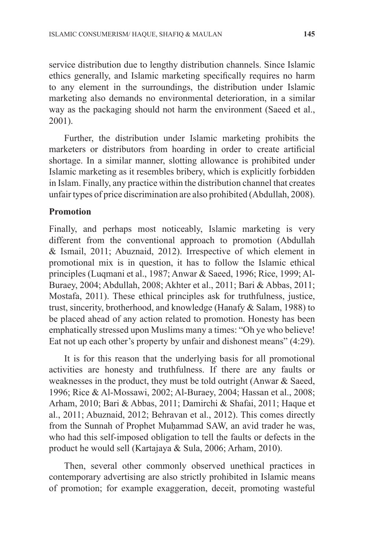service distribution due to lengthy distribution channels. Since Islamic ethics generally, and Islamic marketing specifically requires no harm to any element in the surroundings, the distribution under Islamic marketing also demands no environmental deterioration, in a similar way as the packaging should not harm the environment (Saeed et al., 2001).

Further, the distribution under Islamic marketing prohibits the marketers or distributors from hoarding in order to create artificial shortage. In a similar manner, slotting allowance is prohibited under Islamic marketing as it resembles bribery, which is explicitly forbidden in Islam. Finally, any practice within the distribution channel that creates unfair types of price discrimination are also prohibited (Abdullah, 2008).

### **Promotion**

Finally, and perhaps most noticeably, Islamic marketing is very different from the conventional approach to promotion (Abdullah & Ismail, 2011; Abuznaid, 2012). Irrespective of which element in promotional mix is in question, it has to follow the Islamic ethical principles (Luqmani et al., 1987; Anwar & Saeed, 1996; Rice, 1999; Al-Buraey, 2004; Abdullah, 2008; Akhter et al., 2011; Bari & Abbas, 2011; Mostafa, 2011). These ethical principles ask for truthfulness, justice, trust, sincerity, brotherhood, and knowledge (Hanafy & Salam, 1988) to be placed ahead of any action related to promotion. Honesty has been emphatically stressed upon Muslims many a times: "Oh ye who believe! Eat not up each other's property by unfair and dishonest means" (4:29).

It is for this reason that the underlying basis for all promotional activities are honesty and truthfulness. If there are any faults or weaknesses in the product, they must be told outright (Anwar & Saeed, 1996; Rice & Al-Mossawi, 2002; Al-Buraey, 2004; Hassan et al., 2008; Arham, 2010; Bari & Abbas, 2011; Damirchi & Shafai, 2011; Haque et al., 2011; Abuznaid, 2012; Behravan et al., 2012). This comes directly from the Sunnah of Prophet Muḥammad SAW, an avid trader he was, who had this self-imposed obligation to tell the faults or defects in the product he would sell (Kartajaya & Sula, 2006; Arham, 2010).

Then, several other commonly observed unethical practices in contemporary advertising are also strictly prohibited in Islamic means of promotion; for example exaggeration, deceit, promoting wasteful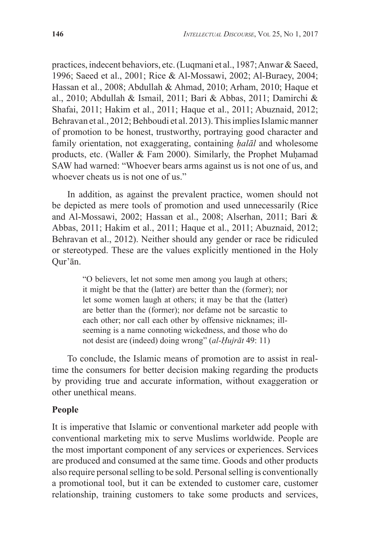practices, indecent behaviors, etc. (Luqmani et al., 1987; Anwar & Saeed, 1996; Saeed et al., 2001; Rice & Al-Mossawi, 2002; Al-Buraey, 2004; Hassan et al., 2008; Abdullah & Ahmad, 2010; Arham, 2010; Haque et al., 2010; Abdullah & Ismail, 2011; Bari & Abbas, 2011; Damirchi & Shafai, 2011; Hakim et al., 2011; Haque et al., 2011; Abuznaid, 2012; Behravan et al., 2012; Behboudi et al. 2013). This implies Islamic manner of promotion to be honest, trustworthy, portraying good character and family orientation, not exaggerating, containing *ḥalāl* and wholesome products, etc. (Waller  $& Fam 2000$ ). Similarly, the Prophet Muhamad SAW had warned: "Whoever bears arms against us is not one of us, and whoever cheats us is not one of us."

In addition, as against the prevalent practice, women should not be depicted as mere tools of promotion and used unnecessarily (Rice and Al-Mossawi, 2002; Hassan et al., 2008; Alserhan, 2011; Bari & Abbas, 2011; Hakim et al., 2011; Haque et al., 2011; Abuznaid, 2012; Behravan et al., 2012). Neither should any gender or race be ridiculed or stereotyped. These are the values explicitly mentioned in the Holy Qur'ān.

> "O believers, let not some men among you laugh at others; it might be that the (latter) are better than the (former); nor let some women laugh at others; it may be that the (latter) are better than the (former); nor defame not be sarcastic to each other; nor call each other by offensive nicknames; illseeming is a name connoting wickedness, and those who do not desist are (indeed) doing wrong" (*al-Ḥujrāt* 49: 11)

To conclude, the Islamic means of promotion are to assist in realtime the consumers for better decision making regarding the products by providing true and accurate information, without exaggeration or other unethical means.

#### **People**

It is imperative that Islamic or conventional marketer add people with conventional marketing mix to serve Muslims worldwide. People are the most important component of any services or experiences. Services are produced and consumed at the same time. Goods and other products also require personal selling to be sold. Personal selling is conventionally a promotional tool, but it can be extended to customer care, customer relationship, training customers to take some products and services,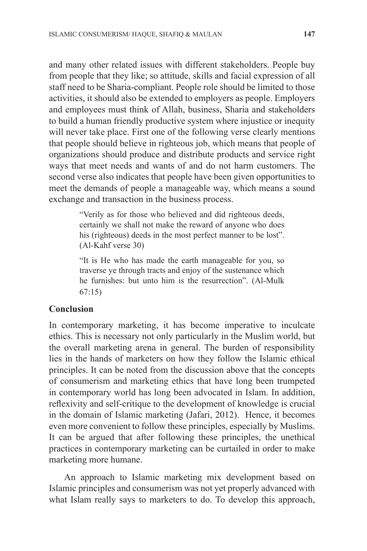and many other related issues with different stakeholders. People buy from people that they like; so attitude, skills and facial expression of all staff need to be Sharia-compliant. People role should be limited to those activities, it should also be extended to employers as people. Employers and employees must think of Allah, business, Sharia and stakeholders to build a human friendly productive system where injustice or inequity will never take place. First one of the following verse clearly mentions that people should believe in righteous job, which means that people of organizations should produce and distribute products and service right ways that meet needs and wants of and do not harm customers. The second verse also indicates that people have been given opportunities to meet the demands of people a manageable way, which means a sound exchange and transaction in the business process.

> "Verily as for those who believed and did righteous deeds, certainly we shall not make the reward of anyone who does his (righteous) deeds in the most perfect manner to be lost". (Al-Kahf verse 30)

> "It is He who has made the earth manageable for you, so traverse ye through tracts and enjoy of the sustenance which he furnishes: but unto him is the resurrection". (Al-Mulk 67:15)

#### **Conclusion**

In contemporary marketing, it has become imperative to inculcate ethics. This is necessary not only particularly in the Muslim world, but the overall marketing arena in general. The burden of responsibility lies in the hands of marketers on how they follow the Islamic ethical principles. It can be noted from the discussion above that the concepts of consumerism and marketing ethics that have long been trumpeted in contemporary world has long been advocated in Islam. In addition, reflexivity and self-critique to the development of knowledge is crucial in the domain of Islamic marketing (Jafari, 2012). Hence, it becomes even more convenient to follow these principles, especially by Muslims. It can be argued that after following these principles, the unethical practices in contemporary marketing can be curtailed in order to make marketing more humane.

An approach to Islamic marketing mix development based on Islamic principles and consumerism was not yet properly advanced with what Islam really says to marketers to do. To develop this approach,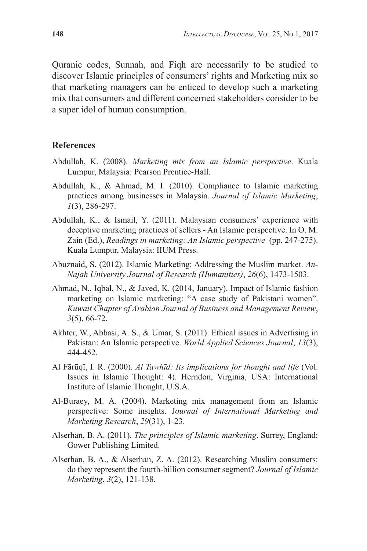Quranic codes, Sunnah, and Fiqh are necessarily to be studied to discover Islamic principles of consumers' rights and Marketing mix so that marketing managers can be enticed to develop such a marketing mix that consumers and different concerned stakeholders consider to be a super idol of human consumption.

#### **References**

- Abdullah, K. (2008). *Marketing mix from an Islamic perspective*. Kuala Lumpur, Malaysia: Pearson Prentice-Hall.
- Abdullah, K., & Ahmad, M. I. (2010). Compliance to Islamic marketing practices among businesses in Malaysia. *Journal of Islamic Marketing*, *1*(3), 286-297.
- Abdullah, K., & Ismail, Y. (2011). Malaysian consumers' experience with deceptive marketing practices of sellers - An Islamic perspective. In O. M. Zain (Ed.), *Readings in marketing: An Islamic perspective* (pp. 247-275). Kuala Lumpur, Malaysia: IIUM Press.
- Abuznaid, S. (2012). Islamic Marketing: Addressing the Muslim market. *An-Najah University Journal of Research (Humanities)*, *26*(6), 1473-1503.
- Ahmad, N., Iqbal, N., & Javed, K. (2014, January). Impact of Islamic fashion marketing on Islamic marketing: "A case study of Pakistani women". *Kuwait Chapter of Arabian Journal of Business and Management Review*, *3*(5), 66-72.
- Akhter, W., Abbasi, A. S., & Umar, S. (2011). Ethical issues in Advertising in Pakistan: An Islamic perspective. *World Applied Sciences Journal*, *13*(3), 444-452.
- Al Fārūqī, I. R. (2000). *Al Tawhīd: Its implications for thought and life* (Vol. Issues in Islamic Thought: 4). Herndon, Virginia, USA: International Institute of Islamic Thought, U.S.A.
- Al-Buraey, M. A. (2004). Marketing mix management from an Islamic perspective: Some insights. J*ournal of International Marketing and Marketing Research*, *29*(31), 1-23.
- Alserhan, B. A. (2011). *The principles of Islamic marketing*. Surrey, England: Gower Publishing Limited.
- Alserhan, B. A., & Alserhan, Z. A. (2012). Researching Muslim consumers: do they represent the fourth-billion consumer segment? *Journal of Islamic Marketing*, *3*(2), 121-138.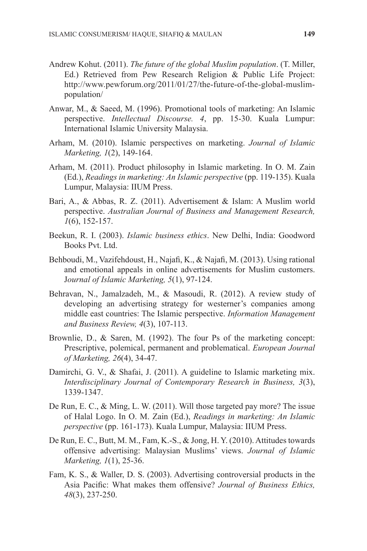- Andrew Kohut. (2011). *The future of the global Muslim population*. (T. Miller, Ed.) Retrieved from Pew Research Religion & Public Life Project: http://www.pewforum.org/2011/01/27/the-future-of-the-global-muslimpopulation/
- Anwar, M., & Saeed, M. (1996). Promotional tools of marketing: An Islamic perspective. *Intellectual Discourse. 4*, pp. 15-30. Kuala Lumpur: International Islamic University Malaysia.
- Arham, M. (2010). Islamic perspectives on marketing. *Journal of Islamic Marketing, 1*(2), 149-164.
- Arham, M. (2011). Product philosophy in Islamic marketing. In O. M. Zain (Ed.), *Readings in marketing: An Islamic perspective* (pp. 119-135). Kuala Lumpur, Malaysia: IIUM Press.
- Bari, A., & Abbas, R. Z. (2011). Advertisement & Islam: A Muslim world perspective. *Australian Journal of Business and Management Research, 1*(6), 152-157.
- Beekun, R. I. (2003). *Islamic business ethics*. New Delhi, India: Goodword Books Pvt. Ltd.
- Behboudi, M., Vazifehdoust, H., Najafi, K., & Najafi, M. (2013). Using rational and emotional appeals in online advertisements for Muslim customers. J*ournal of Islamic Marketing, 5*(1), 97-124.
- Behravan, N., Jamalzadeh, M., & Masoudi, R. (2012). A review study of developing an advertising strategy for westerner's companies among middle east countries: The Islamic perspective. *Information Management and Business Review, 4*(3), 107-113.
- Brownlie, D., & Saren, M. (1992). The four Ps of the marketing concept: Prescriptive, polemical, permanent and problematical. *European Journal of Marketing, 26*(4), 34-47.
- Damirchi, G. V., & Shafai, J. (2011). A guideline to Islamic marketing mix. *Interdisciplinary Journal of Contemporary Research in Business, 3*(3), 1339-1347.
- De Run, E. C., & Ming, L. W. (2011). Will those targeted pay more? The issue of Halal Logo. In O. M. Zain (Ed.), *Readings in marketing: An Islamic perspective* (pp. 161-173). Kuala Lumpur, Malaysia: IIUM Press.
- De Run, E. C., Butt, M. M., Fam, K.-S., & Jong, H. Y. (2010). Attitudes towards offensive advertising: Malaysian Muslims' views. *Journal of Islamic Marketing, 1*(1), 25-36.
- Fam, K. S., & Waller, D. S. (2003). Advertising controversial products in the Asia Pacific: What makes them offensive? *Journal of Business Ethics, 48*(3), 237-250.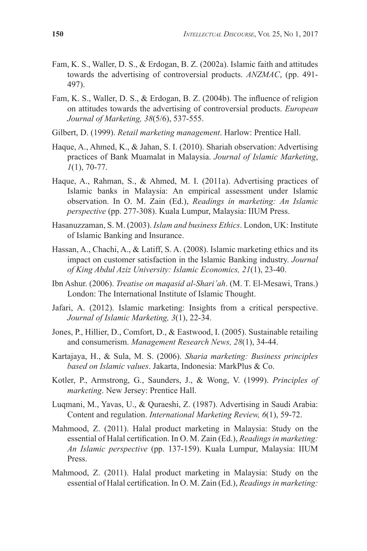- Fam, K. S., Waller, D. S., & Erdogan, B. Z. (2002a). Islamic faith and attitudes towards the advertising of controversial products. *ANZMAC*, (pp. 491- 497).
- Fam, K. S., Waller, D. S., & Erdogan, B. Z. (2004b). The influence of religion on attitudes towards the advertising of controversial products. *European Journal of Marketing, 38*(5/6), 537-555.
- Gilbert, D. (1999). *Retail marketing management*. Harlow: Prentice Hall.
- Haque, A., Ahmed, K., & Jahan, S. I. (2010). Shariah observation: Advertising practices of Bank Muamalat in Malaysia. *Journal of Islamic Marketing*, *1*(1), 70-77.
- Haque, A., Rahman, S., & Ahmed, M. I. (2011a). Advertising practices of Islamic banks in Malaysia: An empirical assessment under Islamic observation. In O. M. Zain (Ed.), *Readings in marketing: An Islamic perspective* (pp. 277-308). Kuala Lumpur, Malaysia: IIUM Press.
- Hasanuzzaman, S. M. (2003). *Islam and business Ethics*. London, UK: Institute of Islamic Banking and Insurance.
- Hassan, A., Chachi, A., & Latiff, S. A. (2008). Islamic marketing ethics and its impact on customer satisfaction in the Islamic Banking industry. *Journal of King Abdul Aziz University: Islamic Economics, 21*(1), 23-40.
- Ibn Ashur. (2006). *Treatise on maqasid al-Shari'ah*. (M. T. El-Mesawi, Trans.) London: The International Institute of Islamic Thought.
- Jafari, A. (2012). Islamic marketing: Insights from a critical perspective. *Journal of Islamic Marketing, 3*(1), 22-34.
- Jones, P., Hillier, D., Comfort, D., & Eastwood, I. (2005). Sustainable retailing and consumerism. *Management Research News, 28*(1), 34-44.
- Kartajaya, H., & Sula, M. S. (2006). *Sharia marketing: Business principles based on Islamic values*. Jakarta, Indonesia: MarkPlus & Co.
- Kotler, P., Armstrong, G., Saunders, J., & Wong, V. (1999). *Principles of marketing*. New Jersey: Prentice Hall.
- Luqmani, M., Yavas, U., & Quraeshi, Z. (1987). Advertising in Saudi Arabia: Content and regulation. *International Marketing Review, 6*(1), 59-72.
- Mahmood, Z. (2011). Halal product marketing in Malaysia: Study on the essential of Halal certification. In O. M. Zain (Ed.), *Readings in marketing: An Islamic perspective* (pp. 137-159). Kuala Lumpur, Malaysia: IIUM Press.
- Mahmood, Z. (2011). Halal product marketing in Malaysia: Study on the essential of Halal certification. In O. M. Zain (Ed.), *Readings in marketing:*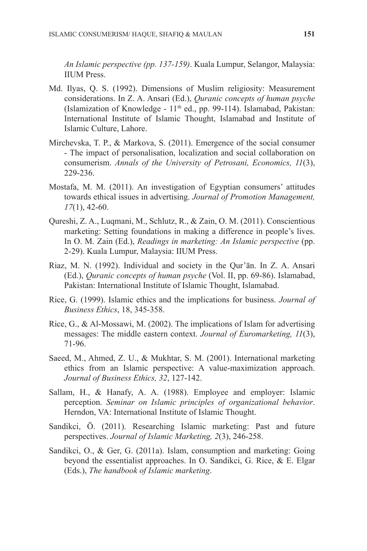*An Islamic perspective (pp. 137-159)*. Kuala Lumpur, Selangor, Malaysia: IIUM Press.

- Md. Ilyas, Q. S. (1992). Dimensions of Muslim religiosity: Measurement considerations. In Z. A. Ansari (Ed.), *Quranic concepts of human psyche* (Islamization of Knowledge - 11<sup>th</sup> ed., pp. 99-114). Islamabad, Pakistan: International Institute of Islamic Thought, Islamabad and Institute of Islamic Culture, Lahore.
- Mirchevska, T. P., & Markova, S. (2011). Emergence of the social consumer - The impact of personalisation, localization and social collaboration on consumerism. *Annals of the University of Petrosani, Economics, 11*(3), 229-236.
- Mostafa, M. M. (2011). An investigation of Egyptian consumers' attitudes towards ethical issues in advertising. *Journal of Promotion Management, 17*(1), 42-60.
- Qureshi, Z. A., Luqmani, M., Schlutz, R., & Zain, O. M. (2011). Conscientious marketing: Setting foundations in making a difference in people's lives. In O. M. Zain (Ed.), *Readings in marketing: An Islamic perspective* (pp. 2-29). Kuala Lumpur, Malaysia: IIUM Press.
- Riaz, M. N. (1992). Individual and society in the Qur'ān. In Z. A. Ansari (Ed.), *Quranic concepts of human psyche* (Vol. II, pp. 69-86). Islamabad, Pakistan: International Institute of Islamic Thought, Islamabad.
- Rice, G. (1999). Islamic ethics and the implications for business. *Journal of Business Ethics*, 18, 345-358.
- Rice, G., & Al-Mossawi, M. (2002). The implications of Islam for advertising messages: The middle eastern context. *Journal of Euromarketing, 11*(3), 71-96.
- Saeed, M., Ahmed, Z. U., & Mukhtar, S. M. (2001). International marketing ethics from an Islamic perspective: A value-maximization approach. *Journal of Business Ethics, 32*, 127-142.
- Sallam, H., & Hanafy, A. A. (1988). Employee and employer: Islamic perception. *Seminar on Islamic principles of organizational behavior*. Herndon, VA: International Institute of Islamic Thought.
- Sandikci, Ö. (2011). Researching Islamic marketing: Past and future perspectives. *Journal of Islamic Marketing, 2*(3), 246-258.
- Sandikci, O., & Ger, G. (2011a). Islam, consumption and marketing: Going beyond the essentialist approaches. In O. Sandikci, G. Rice, & E. Elgar (Eds.), *The handbook of Islamic marketing*.